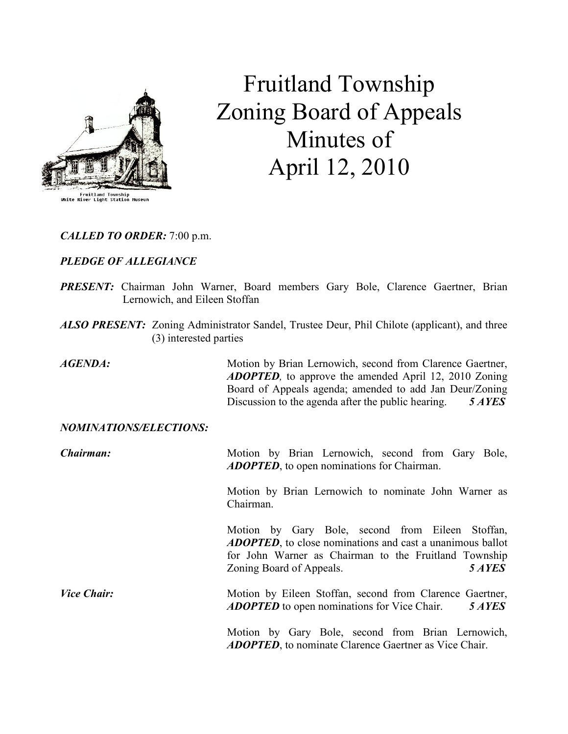

# Fruitland Township Zoning Board of Appeals Minutes of April 12, 2010

CALLED TO ORDER: 7:00 p.m.

## PLEDGE OF ALLEGIANCE

- PRESENT: Chairman John Warner, Board members Gary Bole, Clarence Gaertner, Brian Lernowich, and Eileen Stoffan
- ALSO PRESENT: Zoning Administrator Sandel, Trustee Deur, Phil Chilote (applicant), and three (3) interested parties

AGENDA: Motion by Brian Lernowich, second from Clarence Gaertner, **ADOPTED**, to approve the amended April 12, 2010 Zoning Board of Appeals agenda; amended to add Jan Deur/Zoning Discussion to the agenda after the public hearing. 5 AYES

#### NOMINATIONS/ELECTIONS:

**Chairman:** Motion by Brian Lernowich, second from Gary Bole, ADOPTED, to open nominations for Chairman.

> Motion by Brian Lernowich to nominate John Warner as Chairman.

> Motion by Gary Bole, second from Eileen Stoffan, **ADOPTED**, to close nominations and cast a unanimous ballot for John Warner as Chairman to the Fruitland Township Zoning Board of Appeals. 5 AYES

Vice Chair: Motion by Eileen Stoffan, second from Clarence Gaertner, ADOPTED to open nominations for Vice Chair. 5 AYES

> Motion by Gary Bole, second from Brian Lernowich, ADOPTED, to nominate Clarence Gaertner as Vice Chair.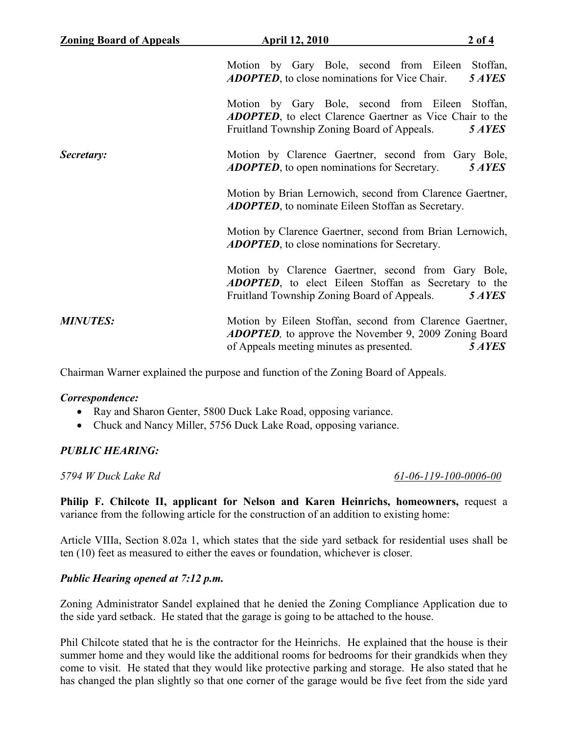| <b>Zoning Board of Appeals</b> | <b>April 12, 2010</b>                                                                                                                                                 | $2$ of 4           |
|--------------------------------|-----------------------------------------------------------------------------------------------------------------------------------------------------------------------|--------------------|
|                                | Motion by Gary Bole, second from Eileen<br><b>ADOPTED</b> , to close nominations for Vice Chair.                                                                      | Stoffan,<br>5 AYES |
|                                | Motion by Gary Bole, second from Eileen Stoffan,<br><b>ADOPTED</b> , to elect Clarence Gaertner as Vice Chair to the<br>Fruitland Township Zoning Board of Appeals.   | 5 AYES             |
| Secretary:                     | Motion by Clarence Gaertner, second from Gary Bole,<br><b>ADOPTED</b> , to open nominations for Secretary.                                                            | 5 AYES             |
|                                | Motion by Brian Lernowich, second from Clarence Gaertner,<br><b>ADOPTED</b> , to nominate Eileen Stoffan as Secretary.                                                |                    |
|                                | Motion by Clarence Gaertner, second from Brian Lernowich,<br><b>ADOPTED</b> , to close nominations for Secretary.                                                     |                    |
|                                | Motion by Clarence Gaertner, second from Gary Bole,<br><b>ADOPTED</b> , to elect Eileen Stoffan as Secretary to the<br>Fruitland Township Zoning Board of Appeals.    | 5 AYES             |
| <b>MINUTES:</b>                | Motion by Eileen Stoffan, second from Clarence Gaertner,<br><b>ADOPTED</b> , to approve the November 9, 2009 Zoning Board<br>of Appeals meeting minutes as presented. | 5 AYES             |

Chairman Warner explained the purpose and function of the Zoning Board of Appeals.

#### Correspondence:

- Ray and Sharon Genter, 5800 Duck Lake Road, opposing variance.
- Chuck and Nancy Miller, 5756 Duck Lake Road, opposing variance.

## PUBLIC HEARING:

5794 W Duck Lake Rd 61-06-119-100-0006-00

Philip F. Chilcote II, applicant for Nelson and Karen Heinrichs, homeowners, request a variance from the following article for the construction of an addition to existing home:

Article VIIIa, Section 8.02a 1, which states that the side yard setback for residential uses shall be ten (10) feet as measured to either the eaves or foundation, whichever is closer.

#### Public Hearing opened at 7:12 p.m.

Zoning Administrator Sandel explained that he denied the Zoning Compliance Application due to the side yard setback. He stated that the garage is going to be attached to the house.

Phil Chilcote stated that he is the contractor for the Heinrichs. He explained that the house is their summer home and they would like the additional rooms for bedrooms for their grandkids when they come to visit. He stated that they would like protective parking and storage. He also stated that he has changed the plan slightly so that one corner of the garage would be five feet from the side yard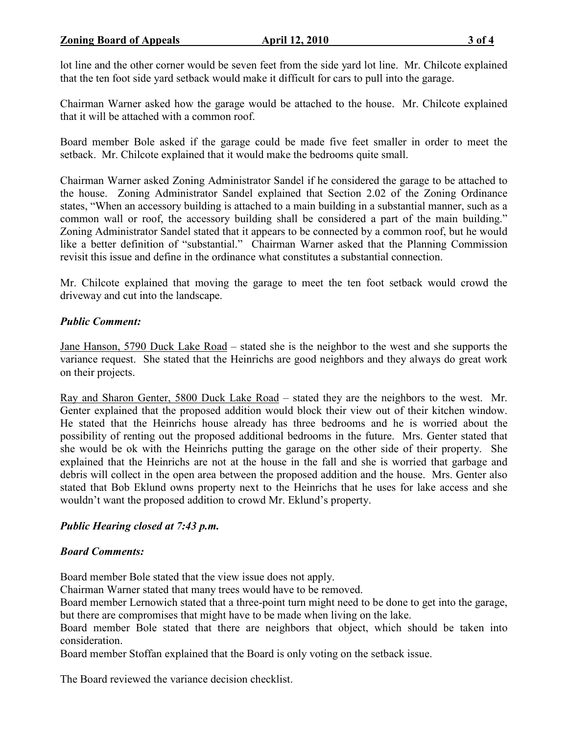lot line and the other corner would be seven feet from the side yard lot line. Mr. Chilcote explained that the ten foot side yard setback would make it difficult for cars to pull into the garage.

Chairman Warner asked how the garage would be attached to the house. Mr. Chilcote explained that it will be attached with a common roof.

Board member Bole asked if the garage could be made five feet smaller in order to meet the setback. Mr. Chilcote explained that it would make the bedrooms quite small.

Chairman Warner asked Zoning Administrator Sandel if he considered the garage to be attached to the house. Zoning Administrator Sandel explained that Section 2.02 of the Zoning Ordinance states, "When an accessory building is attached to a main building in a substantial manner, such as a common wall or roof, the accessory building shall be considered a part of the main building." Zoning Administrator Sandel stated that it appears to be connected by a common roof, but he would like a better definition of "substantial." Chairman Warner asked that the Planning Commission revisit this issue and define in the ordinance what constitutes a substantial connection.

Mr. Chilcote explained that moving the garage to meet the ten foot setback would crowd the driveway and cut into the landscape.

## Public Comment:

Jane Hanson, 5790 Duck Lake Road – stated she is the neighbor to the west and she supports the variance request. She stated that the Heinrichs are good neighbors and they always do great work on their projects.

Ray and Sharon Genter, 5800 Duck Lake Road – stated they are the neighbors to the west. Mr. Genter explained that the proposed addition would block their view out of their kitchen window. He stated that the Heinrichs house already has three bedrooms and he is worried about the possibility of renting out the proposed additional bedrooms in the future. Mrs. Genter stated that she would be ok with the Heinrichs putting the garage on the other side of their property. She explained that the Heinrichs are not at the house in the fall and she is worried that garbage and debris will collect in the open area between the proposed addition and the house. Mrs. Genter also stated that Bob Eklund owns property next to the Heinrichs that he uses for lake access and she wouldn't want the proposed addition to crowd Mr. Eklund's property.

## Public Hearing closed at 7:43 p.m.

#### Board Comments:

Board member Bole stated that the view issue does not apply.

Chairman Warner stated that many trees would have to be removed.

Board member Lernowich stated that a three-point turn might need to be done to get into the garage, but there are compromises that might have to be made when living on the lake.

Board member Bole stated that there are neighbors that object, which should be taken into consideration.

Board member Stoffan explained that the Board is only voting on the setback issue.

The Board reviewed the variance decision checklist.